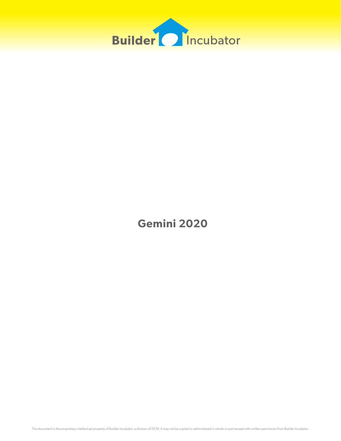

**Gemini 2020**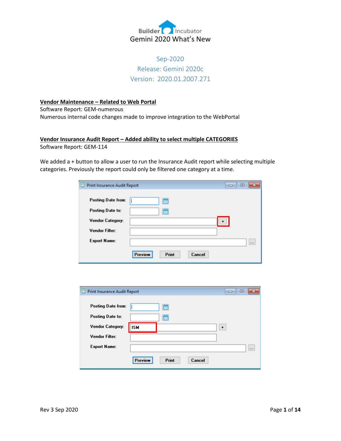

# Sep-2020 Release: Gemini 2020c Version: 2020.01.2007.271

# **Vendor Maintenance – Related to Web Portal**

Software Report: GEM-numerous

Numerous internal code changes made to improve integration to the WebPortal

## **Vendor Insurance Audit Report – Added ability to select multiple CATEGORIES** Software Report: GEM-114

We added a + button to allow a user to run the Insurance Audit report while selecting multiple categories. Previously the report could only be filtered one category at a time.

| Print Insurance Audit Report<br>۳ |                            | $\mathbf x$<br>▣<br>$\Box$ |
|-----------------------------------|----------------------------|----------------------------|
| Posting Date from:                | m                          |                            |
| Posting Date to:                  | m                          |                            |
| Vendor Category:                  |                            |                            |
| Vendor Filter:                    |                            |                            |
| <b>Export Name:</b>               |                            | 1.11                       |
|                                   | Preview<br>Print<br>Cancel |                            |

| Print Insurance Audit Report<br>е |                            | Ξ<br>ᆷ    |
|-----------------------------------|----------------------------|-----------|
|                                   |                            |           |
| <b>Posting Date from:</b>         | 凿                          |           |
| Posting Date to:                  | ₩                          |           |
| Vendor Category:                  | <b>ISM</b>                 | $\ddot{}$ |
| Vendor Filter:                    |                            |           |
| <b>Export Name:</b>               |                            | $\cdots$  |
|                                   | Preview<br>Print<br>Cancel |           |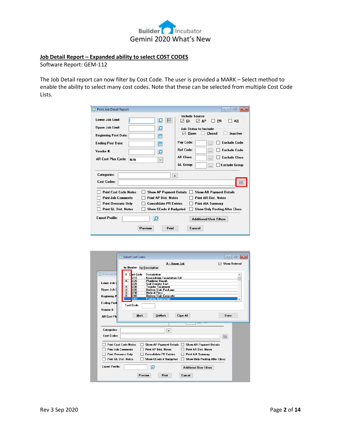

#### **Job Detail Report – Expanded ability to select COST CODES**

Software Report: GEM-112

The Job Detail report can now filter by Cost Code. The user is provided a MARK – Select method to enable the ability to select many cost codes. Note that these can be selected from multiple Cost Code Lists.

| Print Job Detail Report                                                                                                                                                                                                                                   | $-x$<br>回<br>--                                                                                                                                                                                                                                                                                                                 |
|-----------------------------------------------------------------------------------------------------------------------------------------------------------------------------------------------------------------------------------------------------------|---------------------------------------------------------------------------------------------------------------------------------------------------------------------------------------------------------------------------------------------------------------------------------------------------------------------------------|
| Lower Job Limit:<br>挂<br>Ω<br>Upper Job Limit:<br>Q<br><b>Beginning Post Date:</b><br>m<br><b>Ending Post Date:</b><br>僧<br>Vendor #:<br>₫<br><b>AR Cost Plus Cycle:</b><br>N/A<br>$\checkmark$                                                           | <b>Include Source</b><br>GL<br>PR<br>◡<br>M<br>AP<br>AR<br><b>Job Status to Include</b><br><b>Closed</b><br>Inactive<br>Open<br>М<br>Pay Code:<br><b>Exclude Code</b><br><b>Ref Code:</b><br><b>Exclude Code</b><br><br><b>AR Class:</b><br><b>Exclude Class</b><br>$\ddotsc$<br>GL Group:<br><b>Exclude Group</b><br>$\ddotsc$ |
| <b>Categories:</b><br>Cost Codes:                                                                                                                                                                                                                         | $\ddot{\phantom{1}}$                                                                                                                                                                                                                                                                                                            |
| <b>Print Cost Code Notes</b><br><b>Show AP Payment Details</b><br><b>Print Job Comments</b><br><b>Print AP Dist. Notes</b><br><b>Consolidate PR Entries</b><br><b>Print Overruns Only</b><br><b>Print GL Dist. Notes</b><br><b>Show CCode if Budgeted</b> | <b>Show AR Payment Details</b><br><b>Print AR Dist. Notes</b><br><b>Print AIA Summary</b><br><b>Show Only Posting After Close</b>                                                                                                                                                                                               |
| <b>Export Profile:</b><br>Ω<br>Preview<br>Print                                                                                                                                                                                                           | <b>Additional Liser Filters</b><br>Cancel                                                                                                                                                                                                                                                                                       |

|                             | Select Cost Codes                                                                                                                        | $-23$<br>$\Box$<br>-- |
|-----------------------------|------------------------------------------------------------------------------------------------------------------------------------------|-----------------------|
|                             | A - House List<br>$\vee$<br>by Number by Description                                                                                     | <b>Show Deleted</b>   |
| Print Job De                | Cast Code<br><b>Description</b><br>x.<br>215<br>Knockdown Foundation Fill<br>$\overline{\mathbf{x}}$<br>220<br><b>Plumbing Rough</b>     |                       |
| Lower Job L<br>Upper Job L  | 225<br><b>Soil Density Test</b><br><b>Termite Treatment</b><br>230<br>×<br>$\overline{\mathbf{x}}$<br>235<br><b>Deliver Slab Package</b> |                       |
| <b>Beginning P</b>          | 238<br>×<br><b>Helical Piers</b><br><b>Deliver Slab Concrete</b><br>240<br>x                                                             |                       |
| <b>Ending Post</b>          | 1243<br><b>Footing Inspection</b><br><b>Cost Code:</b>                                                                                   |                       |
| Vendor #:                   |                                                                                                                                          |                       |
| <b>AR Cost Plu</b>          | <b>UnMark</b><br><b>Clear All</b><br><b>Mark</b>                                                                                         | Done                  |
| <b>Categories:</b>          | $\ddot{\phantom{1}}$                                                                                                                     |                       |
| <b>Cost Codes:</b>          | 拒                                                                                                                                        |                       |
|                             | <b>Print Cost Code Notes</b><br><b>Show AP Payment Details</b><br><b>Show AR Payment Details</b>                                         |                       |
| <b>Print Job Comments</b>   | <b>Print AP Dist Notes</b><br><b>Print AR Dist Notes</b>                                                                                 |                       |
| <b>Print Overruns Only</b>  | <b>Consolidate PR Entries</b><br><b>Print AIA Summary</b>                                                                                |                       |
| <b>Print GL Dist. Notes</b> | <b>Show CCode if Budgeted</b><br>Show Only Posting After Close                                                                           |                       |
| <b>Export Profile:</b>      | Ω<br><b>Additional User Filters</b>                                                                                                      |                       |
|                             | Print<br>Cancel<br>Preview                                                                                                               |                       |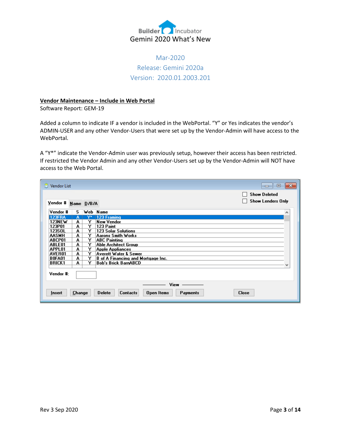

# Mar-2020 Release: Gemini 2020a Version: 2020.01.2003.201

#### **Vendor Maintenance – Include in Web Portal**

Software Report: GEM-19

Added a column to indicate IF a vendor is included in the WebPortal. "Y" or Yes indicates the vendor's ADMIN-USER and any other Vendor-Users that were set up by the Vendor-Admin will have access to the WebPortal.

A "Y\*" indicate the Vendor-Admin user was previously setup, however their access has been restricted. If restricted the Vendor Admin and any other Vendor-Users set up by the Vendor-Admin will NOT have access to the Web Portal.

| Vendor List   |            |    | ▣<br>$\Box$                                                                       | $-23$ |
|---------------|------------|----|-----------------------------------------------------------------------------------|-------|
|               |            |    | <b>Show Deleted</b>                                                               |       |
| Yendor #      | Name D/B/A |    | <b>Show Lenders Only</b>                                                          |       |
| Vendor #      | S.         |    | Web Name<br>۸                                                                     |       |
| <b>123FRA</b> | А          | Υ× | 123 Framing                                                                       |       |
| 123NEW        | A          | Y  | New Vendor                                                                        |       |
| 123P01        | A          | Y  | 123 Paint                                                                         |       |
| 123SOL        | A          | Y  | <b>123 Solar Solutions</b>                                                        |       |
| <b>AASMH</b>  | A          | Y  | <b>Aarons Smith Works</b>                                                         |       |
| ABCP01        | A          | Y  | <b>ABC Painting</b>                                                               |       |
| ABLE01        | A          | Y  | Able Architect Group                                                              |       |
| APPL01        | A          | Y  | <b>Apple Appliances</b>                                                           |       |
| AVER01        | A          | Y  | Averett Water & Sewer                                                             |       |
| <b>BOFA01</b> | A          | Y  | B of A Financing and Mortgage Inc.                                                |       |
| <b>BRICK1</b> | A          | Y  | <b>Bob's Brick BarnABCD</b>                                                       |       |
|               |            |    |                                                                                   |       |
| Vendor #:     |            |    |                                                                                   |       |
|               |            |    | View                                                                              |       |
| Insert        | Change     |    | <b>Contacts</b><br>Open Items<br><b>Close</b><br><b>Delete</b><br><b>Payments</b> |       |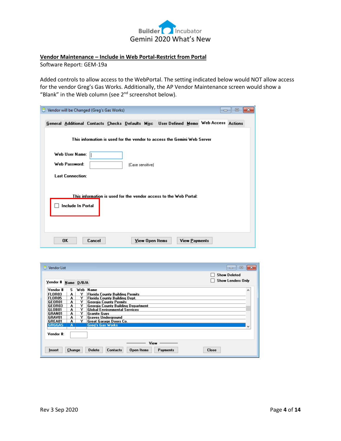

#### **Vendor Maintenance – Include in Web Portal-Restrict from Portal**

Software Report: GEM-19a

Added controls to allow access to the WebPortal. The setting indicated below would NOT allow access for the vendor Greg's Gas Works. Additionally, the AP Vendor Maintenance screen would show a "Blank" in the Web column (see 2<sup>nd</sup> screenshot below).

| Vendor will be Changed (Greg's Gas Works)                  |        |                  |                 |                                                                                       |                      | $\Box$ | $\mathbf{x}$<br>回 |
|------------------------------------------------------------|--------|------------------|-----------------|---------------------------------------------------------------------------------------|----------------------|--------|-------------------|
|                                                            |        |                  |                 | General Additional Contacts Checks Defaults Misc User Defined Memo Web Access Actions |                      |        |                   |
|                                                            |        |                  |                 | This information is used for the vendor to access the Gemini Web Server               |                      |        |                   |
| Web User Name:<br>Web Password:<br><b>Last Connection:</b> |        | (Case sensitive) |                 |                                                                                       |                      |        |                   |
|                                                            |        |                  |                 | This information is used for the vendor access to the Web Portal:                     |                      |        |                   |
| Include In Portal                                          |        |                  |                 |                                                                                       |                      |        |                   |
| 0K                                                         | Cancel |                  | View Open Items |                                                                                       | <b>View Payments</b> |        |                   |

| Vendor List            |        |          | $\Box$<br>$\Box$                                                                   | -23 |
|------------------------|--------|----------|------------------------------------------------------------------------------------|-----|
| $Y$ endor # Name D/B/A |        |          | <b>Show Deleted</b><br><b>Show Lenders Only</b>                                    |     |
| Vendor #               | s      | Web Name |                                                                                    |     |
| FLOR03                 | А      | Y        | Florida County Building Permits                                                    |     |
| <b>FLOR05</b>          | A      | Y        | Florida County Building Dept.                                                      |     |
| GEOR01                 | A      | Y        | Georgia County Permits                                                             |     |
| GEOR03                 | A      | Y        | Georgia County Building Department                                                 |     |
| GLOB01                 | A      | Y        | <b>Global Environmental Services</b>                                               |     |
| GRAN01                 | A      | Y        | Granite Guys                                                                       |     |
| GRAV01                 | A      | Y        | Graves Underground                                                                 |     |
| GREA01                 | А      | Y        | Great Garage Doors Co.                                                             |     |
| <b>GRGGAS</b>          | Δ      |          | <b>Greg's Gas Works</b>                                                            | w   |
| Vendor #:              |        |          |                                                                                    |     |
| Insert                 | Change |          | View<br>Open Items<br><b>Close</b><br><b>Delete</b><br><b>Contacts</b><br>Payments |     |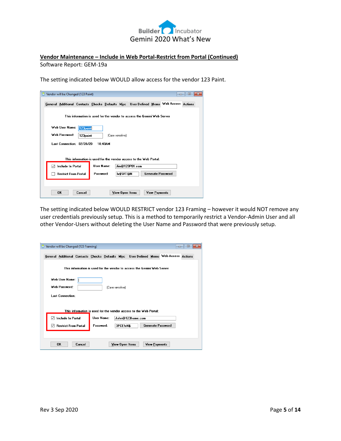

## **Vendor Maintenance – Include in Web Portal-Restrict from Portal (Continued)** Software Report: GEM-19a

The setting indicated below WOULD allow access for the vendor 123 Paint.

|              | Vendor will be Changed (123 Paint) |          |            |                  |                 |                                                                                       |                      | $\Box$                   | $\mathbf{x}$<br>同 |
|--------------|------------------------------------|----------|------------|------------------|-----------------|---------------------------------------------------------------------------------------|----------------------|--------------------------|-------------------|
|              |                                    |          |            |                  |                 | General Additional Contacts Checks Defaults Misc User Defined Memo Web Access Actions |                      |                          |                   |
|              |                                    |          |            |                  |                 | This information is used for the vendor to access the Gemini Web Server               |                      |                          |                   |
|              | Web User Name:                     | 123paint |            |                  |                 |                                                                                       |                      |                          |                   |
|              | Web Password:                      | 123paint |            | (Case sensitive) |                 |                                                                                       |                      |                          |                   |
|              | Last Connection: 02/28/20          |          |            | 10-40AM          |                 |                                                                                       |                      |                          |                   |
|              |                                    |          |            |                  |                 |                                                                                       |                      |                          |                   |
|              |                                    |          |            |                  |                 | This information is used for the vendor access to the Web Portal:                     |                      |                          |                   |
| $\checkmark$ | Include In Portal                  |          | User Name: |                  |                 | Jim@123P01.com                                                                        |                      |                          |                   |
|              | <b>Restrict From Portal</b>        |          | Password:  |                  | Ix\$5VT@N       |                                                                                       |                      | <b>Generate Password</b> |                   |
|              |                                    |          |            |                  |                 |                                                                                       |                      |                          |                   |
|              | <b>OK</b>                          | Cancel   |            |                  | View Open Items |                                                                                       | <b>View Payments</b> |                          |                   |

The setting indicated below WOULD RESTRICT vendor 123 Framing – however it would NOT remove any user credentials previously setup. This is a method to temporarily restrict a Vendor-Admin User and all other Vendor-Users without deleting the User Name and Password that were previously setup.

|   | Vendor will be Changed (123 Framing) |            |                  |           |                                                                                       | $\Box$                   | 回 |
|---|--------------------------------------|------------|------------------|-----------|---------------------------------------------------------------------------------------|--------------------------|---|
|   |                                      |            |                  |           | General Additional Contacts Checks Defaults Misc User Defined Memo Web Access Actions |                          |   |
|   |                                      |            |                  |           | This information is used for the vendor to access the Gemini Web Server               |                          |   |
|   | Web User Name:                       |            |                  |           |                                                                                       |                          |   |
|   | Web Password:                        |            | (Case sensitive) |           |                                                                                       |                          |   |
|   | <b>Last Connection:</b>              |            |                  |           |                                                                                       |                          |   |
|   |                                      |            |                  |           | This information is used for the vendor access to the Web Portal:                     |                          |   |
| ◡ | Include In Portal                    | User Name: |                  |           | John@123frame.com                                                                     |                          |   |
| ∨ | <b>Restrict From Portal</b>          | Password:  |                  | 3PCE!sN\$ |                                                                                       | <b>Generate Password</b> |   |
|   |                                      |            |                  |           |                                                                                       |                          |   |
|   |                                      |            |                  |           |                                                                                       |                          |   |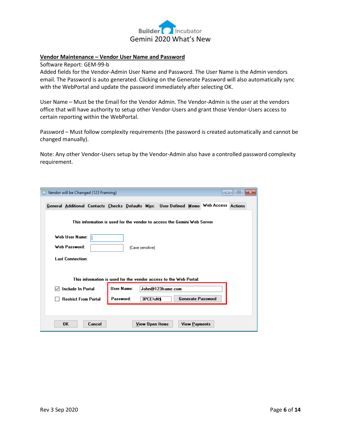

#### **Vendor Maintenance – Vendor User Name and Password**

Software Report: GEM-99-b

Added fields for the Vendor-Admin User Name and Password. The User Name is the Admin vendors email. The Password is auto generated. Clicking on the Generate Password will also automatically sync with the WebPortal and update the password immediately after selecting OK.

User Name – Must be the Email for the Vendor Admin. The Vendor-Admin is the user at the vendors office that will have authority to setup other Vendor-Users and grant those Vendor-Users access to certain reporting within the WebPortal.

Password – Must follow complexity requirements (the password is created automatically and cannot be changed manually).

Note: Any other Vendor-Users setup by the Vendor-Admin also have a controlled password complexity requirement.

| Vendor will be Changed (123 Framing)                                                  |                  |                                                                         |                          | ▣<br>x<br>$\Box$ |
|---------------------------------------------------------------------------------------|------------------|-------------------------------------------------------------------------|--------------------------|------------------|
| General Additional Contacts Checks Defaults Misc User Defined Memo Web Access Actions |                  |                                                                         |                          |                  |
|                                                                                       |                  | This information is used for the vendor to access the Gemini Web Server |                          |                  |
| Web User Name:<br>Web Password:<br><b>Last Connection:</b>                            | (Case sensitive) |                                                                         |                          |                  |
|                                                                                       |                  | This information is used for the vendor access to the Web Portal:       |                          |                  |
| <b>Include In Portal</b>                                                              | User Name:       | John@123frame.com                                                       |                          |                  |
| <b>Restrict From Portal</b>                                                           | Password:        | 3PCE!sN\$                                                               | <b>Generate Password</b> |                  |
|                                                                                       |                  |                                                                         |                          |                  |
| 0K<br>Cancel                                                                          |                  | View Open Items                                                         | <b>View Payments</b>     |                  |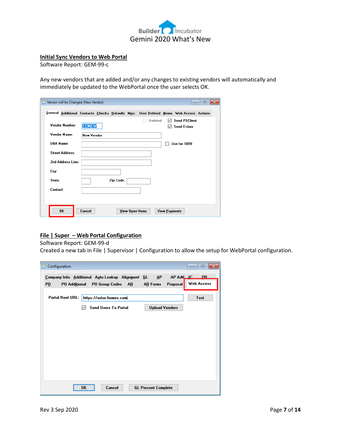

#### **Initial Sync Vendors to Web Portal**

Software Report: GEM-99-c

Any new vendors that are added and/or any changes to existing vendors will automatically and immediately be updated to the WebPortal once the user selects OK.

|                  | Vendor will be Changed (New Vendor) |                   |           |                 |         |               | --                                                                                    | $\mathbf{x}$<br>$\qquad \qquad \Box$ |
|------------------|-------------------------------------|-------------------|-----------|-----------------|---------|---------------|---------------------------------------------------------------------------------------|--------------------------------------|
|                  |                                     |                   |           |                 |         |               | General Additional Contacts Checks Defaults Misc User Defined Memo Web Access Actions |                                      |
|                  | Vendor Number:                      | 123NEW            |           |                 | Deleted | ◡             | <b>Send PSClient</b><br><b>Send Eclare</b>                                            |                                      |
|                  | Vendor Name:                        | <b>New Vendor</b> |           |                 |         |               |                                                                                       |                                      |
| <b>DBA Name:</b> |                                     |                   |           |                 |         |               | Use for 1099                                                                          |                                      |
|                  | Street Address:                     |                   |           |                 |         |               |                                                                                       |                                      |
|                  | 2nd Address Line:                   |                   |           |                 |         |               |                                                                                       |                                      |
| City:            |                                     |                   |           |                 |         |               |                                                                                       |                                      |
| State:           |                                     |                   | Zip Code: |                 |         |               |                                                                                       |                                      |
| Contact:         |                                     |                   |           |                 |         |               |                                                                                       |                                      |
|                  |                                     |                   |           |                 |         |               |                                                                                       |                                      |
|                  | 0K                                  | Cancel            |           | View Open Items |         | View Payments |                                                                                       |                                      |

# **File | Super – Web Portal Configuration**

#### Software Report: GEM-99-d

Created a new tab in File | Supervisor | Configuration to allow the setup for WebPortal configuration.

| Configuration<br>Θ      |               |                                                  |                            |                            | 回<br>$\overline{\mathbf{z}}$<br>$-$ |
|-------------------------|---------------|--------------------------------------------------|----------------------------|----------------------------|-------------------------------------|
|                         |               | Company Info Additional Auto Lookup Alignment GL |                            | AP Adt <sub>ur</sub><br>AР | $_{\rm PR}$                         |
| P <sub>0</sub>          | PO Additional | PO Group Codes AR                                | <b>AR Forms</b>            | Proposal                   | Web Access                          |
| <b>Portal Root URL:</b> |               | https://astor-homes.com                          |                            |                            | Test                                |
|                         | $\vee$        | <b>Send Users To Portal</b>                      |                            | <b>Upload Vendors</b>      |                                     |
|                         |               |                                                  |                            |                            |                                     |
|                         |               |                                                  |                            |                            |                                     |
|                         |               |                                                  |                            |                            |                                     |
|                         |               |                                                  |                            |                            |                                     |
|                         |               |                                                  |                            |                            |                                     |
|                         |               |                                                  |                            |                            |                                     |
|                         |               |                                                  |                            |                            |                                     |
|                         |               |                                                  |                            |                            |                                     |
|                         | 0K            | Cancel                                           | <b>GL Percent Complete</b> |                            |                                     |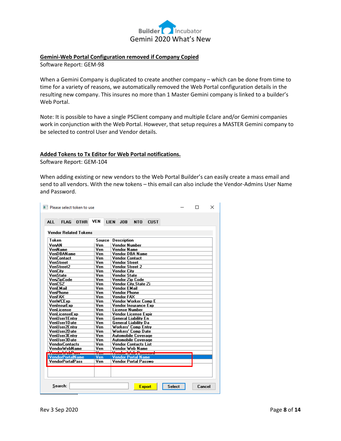

#### **Gemini-Web Portal Configuration removed if Company Copied**

Software Report: GEM-98

When a Gemini Company is duplicated to create another company – which can be done from time to time for a variety of reasons, we automatically removed the Web Portal configuration details in the resulting new company. This insures no more than 1 Master Gemini company is linked to a builder's Web Portal.

Note: It is possible to have a single PSClient company and multiple Eclare and/or Gemini companies work in conjunction with the Web Portal. However, that setup requires a MASTER Gemini company to be selected to control User and Vendor details.

#### **Added Tokens to Tx Editor for Web Portal notifications.**

Software Report: GEM-104

When adding existing or new vendors to the Web Portal Builder's can easily create a mass email and send to all vendors. With the new tokens – this email can also include the Vendor-Admins User Name and Password.

| Token                                              | Source                   | <b>Description</b>             |
|----------------------------------------------------|--------------------------|--------------------------------|
| VenAN                                              | Ven                      | <b>Vendor Number</b>           |
| VenName                                            | Ven                      | <b>Vendor Name</b>             |
| VenDBAName                                         | Ven                      | <b>Vendor DBA Name</b>         |
| VenContact                                         | Ven                      | <b>Vendor Contact</b>          |
| VenStreet                                          | Ven                      | <b>Vendor Street</b>           |
| VenStreet2                                         | Ven                      | Vendor Street 2                |
| VenCity                                            | Ven                      | Vendor City                    |
| VenState                                           | Ven                      | Vendor State                   |
| VenZipCode                                         | Ven                      | <b>Vendor Zip Code</b>         |
| VenCSZ                                             | Ven                      | Vendor City.State Zi           |
| VenEMail                                           | Ven                      | Vendor EMail                   |
| VenPhone                                           | Ven                      | <b>Vendor Phone</b>            |
| VenFAX                                             | Ven                      | Vendor FAX                     |
| <b>VenWCExp</b>                                    | Ven                      | Vendor Worker Comp E           |
| VenInsurExp                                        | Ven                      | Vendor Insurance Exp           |
| VenLicense                                         | Ven                      | License Number                 |
| <b>VenLicenseExp</b>                               | Ven                      | Vendor License Expir           |
| VenUser1Entrv                                      | Ven                      | General Liability En           |
| VenUser1Date                                       | Ven                      | <b>General Liability Da</b>    |
| VenUser2Entru                                      | Ven                      | Workers' Comp Entry            |
| VenUser2Date                                       | Ven                      | Workers' Comp Date             |
| VenUser3Entrv                                      | Ven                      | <b>Automobile Coverage</b>     |
| VenUser3Date                                       | Ven                      | <b>Automobile Coverage</b>     |
| <b>VendorContacts</b>                              | Ven                      | <b>Vendor Contacts List</b>    |
| VendorWebName                                      | Ven                      | Vendor Web Name                |
| <b>Chuck WebPass</b>                               | $\overline{\phantom{a}}$ | <del>Vender Web Password</del> |
|                                                    | <b>Ven</b>               | <b>Vendor Portal Name</b>      |
| <b>VendorPortalName</b><br><b>VendorPortalPass</b> | Ven                      | <b>Vendor Portal Passwo</b>    |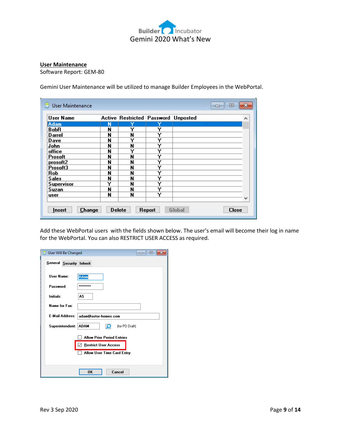

#### **User Maintenance**

L.

Software Report: GEM-80

Gemini User Maintenance will be utilized to manage Builder Employees in the WebPortal.

| User Name         |   | Active Restricted Password Unposted |   |  | ^ |
|-------------------|---|-------------------------------------|---|--|---|
| <b>Adam</b>       | N | Y                                   | Y |  |   |
| BobR              | N | Υ                                   | Y |  |   |
| Darrel            | N | N                                   | Y |  |   |
| Dave              | N | Y                                   | Y |  |   |
| John              | N | N                                   | Y |  |   |
| office            | N | Υ                                   | Y |  |   |
| Prosoft           | N | N                                   | Y |  |   |
| prosoft2          | N | N                                   | Y |  |   |
| Prosoft3          | N | N                                   | Y |  |   |
| Rob               | N | N                                   | Y |  |   |
| <b>Sales</b>      | N | N                                   | Y |  |   |
| <b>Supervisor</b> | Y | N                                   | Y |  |   |
| Suzan             | N | N                                   | Y |  |   |
| user              | N | N                                   | Y |  |   |
|                   |   |                                     |   |  |   |

Add these WebPortal users with the fields shown below. The user's email will become their log in name for the WebPortal. You can also RESTRICT USER ACCESS as required.

| User Will Be Changed     |                      |                                   | 回 |  |
|--------------------------|----------------------|-----------------------------------|---|--|
| General Security Inherit |                      |                                   |   |  |
| User Name:               |                      | <b>Adam</b>                       |   |  |
| Password:                |                      | ********                          |   |  |
| Initials:                |                      | AS                                |   |  |
| Name for Fax:            |                      |                                   |   |  |
| <b>E-Mail Address:</b>   |                      | adam@astor-homes.com              |   |  |
|                          | Superintendent: ADAM | (for PO Draft)<br>О               |   |  |
|                          |                      | <b>Allow Prior Period Entries</b> |   |  |
|                          |                      | <b>Restrict User Access</b>       |   |  |
|                          |                      | Allow User Time Card Entry        |   |  |
|                          |                      |                                   |   |  |
|                          |                      | Cancel<br><b>OK</b>               |   |  |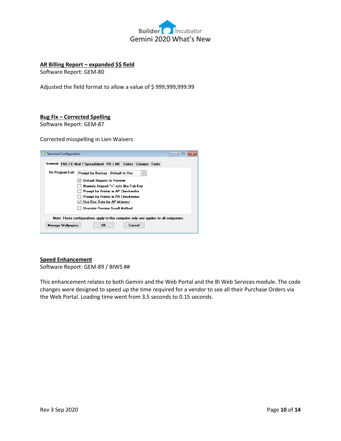

#### **AR Billing Report – expanded \$\$ field**

Software Report: GEM-80

Adjusted the field format to allow a value of \$ 999,999,999.99

#### **Bug Fix – Corrected Spelling**

Software Report: GEM-87

Corrected misspelling in Lien Waivers

| <b>Terminal Configuration</b>                                                        | $\vert$ = $\vert$ |
|--------------------------------------------------------------------------------------|-------------------|
| General FAX / E-Mail / Spreadsheet PO / AR Colors Columns Fonts                      |                   |
| On Program Exit:<br>Prompt for Backup - Default to Yes<br>$\checkmark$               |                   |
| <b>Default Reports to Preview</b>                                                    |                   |
| Numeric keypad "+" acts like Tab Key                                                 |                   |
| Prompt for Printer in AP Checkwriter                                                 |                   |
| Prompt for Printer in PR Checkwriter                                                 |                   |
| Use Doc Date for AP Waivers                                                          |                   |
| <b>Override Preview Scroll Method</b>                                                |                   |
| Note: These configurations apply to this computer only and applies to all companies. |                   |
| OK.<br><b>Manage Wallpapers</b><br>Cancel                                            |                   |

#### **Speed Enhancement**

Software Report: GEM-89 / BIWS ##

This enhancement relates to both Gemini and the Web Portal and the BI Web Services module. The code changes were designed to speed up the time required for a vendor to see all their Purchase Orders via the Web Portal. Loading time went from 3.5 seconds to 0.15 seconds.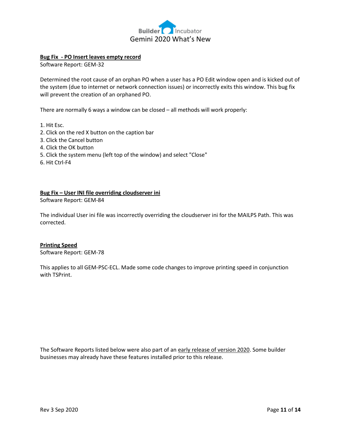

#### **Bug Fix - PO Insert leaves empty record**

Software Report: GEM-32

Determined the root cause of an orphan PO when a user has a PO Edit window open and is kicked out of the system (due to internet or network connection issues) or incorrectly exits this window. This bug fix will prevent the creation of an orphaned PO.

There are normally 6 ways a window can be closed – all methods will work properly:

- 1. Hit Esc.
- 2. Click on the red X button on the caption bar
- 3. Click the Cancel button
- 4. Click the OK button
- 5. Click the system menu (left top of the window) and select "Close"
- 6. Hit Ctrl-F4

#### **Bug Fix – User INI file overriding cloudserver ini**

Software Report: GEM-84

The individual User ini file was incorrectly overriding the cloudserver ini for the MAILPS Path. This was corrected.

#### **Printing Speed**

Software Report: GEM-78

This applies to all GEM-PSC-ECL. Made some code changes to improve printing speed in conjunction with TSPrint.

The Software Reports listed below were also part of an early release of version 2020. Some builder businesses may already have these features installed prior to this release.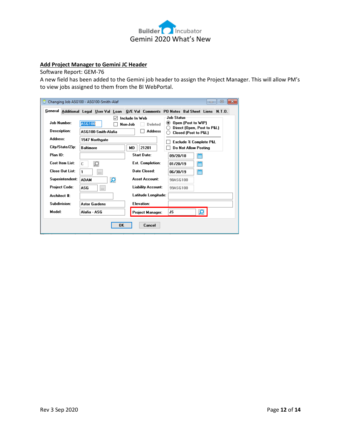

# **Add Project Manager to Gemini JC Header**

Software Report: GEM-76

A new field has been added to the Gemini job header to assign the Project Manager. This will allow PM's to view jobs assigned to them from the BI WebPortal.

|                        | Changing Job ASG100 - ASG100-Smith-Alaf |                           | $\mathbf{x}$<br>回<br>$\Box$                                                             |
|------------------------|-----------------------------------------|---------------------------|-----------------------------------------------------------------------------------------|
|                        |                                         |                           | General Additional Legal User Val Loan Q/E Val Comments PO Notes Bal Sheet Liens N.T.O. |
|                        |                                         | Include In Web            | Job Status                                                                              |
| <b>Job Number:</b>     | <b>ASG100</b>                           | Non-Job<br>Deleted        | ◉<br>Open (Post to WIP)<br>Direct (Open, Post to P&L)                                   |
| Description:           | ASG100-Smith-Alafia                     | <b>Address</b>            | Closed (Post to P&L)                                                                    |
| Address:               | 1547 Northgate                          |                           | <b>Exclude % Complete P&amp;L</b>                                                       |
| City/State/Zip:        | <b>Baltimore</b>                        | 21201<br><b>MD</b>        | Do Not Allow Posting                                                                    |
| Plan ID:               |                                         | Start Date:               | 僧<br>09/20/18                                                                           |
| Cost Item List:        | C                                       | <b>Est. Completion:</b>   | 僧<br>01/20/19                                                                           |
| <b>Close Out List:</b> | 1<br>$\ddots$                           | <b>Date Closed:</b>       | 爵<br>06/30/19                                                                           |
| Superintendent:        | Ö<br><b>ADAM</b>                        | Asset Account:            | 98ASG100                                                                                |
| <b>Project Code:</b>   | ASG<br>$\ddotsc$                        | <b>Liability Account:</b> | 99ASG100                                                                                |
| Architect #:           |                                         | Latitude Longitude:       |                                                                                         |
| Subdivision:           | <b>Astor Gardens</b>                    | Elevation:                |                                                                                         |
| Model:                 | Alafia - ASG                            | Project Manager:          | JS<br>Q                                                                                 |
|                        | OK                                      | Cancel                    |                                                                                         |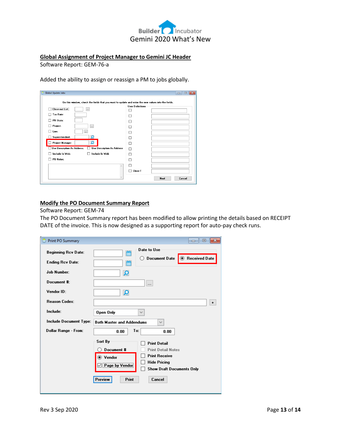

#### **Global Assignment of Project Manager to Gemini JC Header**

Software Report: GEM-76-a

Added the ability to assign or reassign a PM to jobs globally.

| <b>Global Update Jobs</b><br>e                                                                     |                         |      | Iж.<br>$\Box$<br>$\Box$ |
|----------------------------------------------------------------------------------------------------|-------------------------|------|-------------------------|
|                                                                                                    |                         |      |                         |
| On this window, check the fields that you want to update and enter the new values into the fields. | <b>User Definitions</b> |      |                         |
| <b>Close-out List:</b><br>$\frac{1}{2}$                                                            |                         |      |                         |
| Tax Rate:                                                                                          |                         |      |                         |
| <b>PR State:</b>                                                                                   |                         |      |                         |
| Project:<br>$\cdots$                                                                               |                         |      |                         |
| Lien:<br>$\cdots$                                                                                  |                         |      |                         |
| Superintendent:<br>Ω                                                                               |                         |      |                         |
| ۾<br>Project Manager:                                                                              |                         |      |                         |
| <b>Use Description As Address:</b><br><b>Use Description As Address</b>                            | П                       |      |                         |
| Include In Web<br>Include In Web:                                                                  |                         |      |                         |
| PO Notes:                                                                                          |                         |      |                         |
| $\wedge$                                                                                           |                         |      |                         |
|                                                                                                    | Close-T                 |      |                         |
|                                                                                                    |                         | Next | Cancel                  |
|                                                                                                    |                         |      |                         |

#### **Modify the PO Document Summary Report**

Software Report: GEM-74

The PO Document Summary report has been modified to allow printing the details based on RECEIPT DATE of the invoice. This is now designed as a supporting report for auto-pay check runs.

| Print PO Summary                                      | 回<br>$\Box$                                                                                                                                                                                                                                |
|-------------------------------------------------------|--------------------------------------------------------------------------------------------------------------------------------------------------------------------------------------------------------------------------------------------|
| <b>Beginning Rcv Date:</b><br><b>Ending Rcv Date:</b> | Date to Use<br>曲<br>◉ Received Date<br><b>Document Date</b><br>( )<br>僧                                                                                                                                                                    |
| <b>Job Number:</b>                                    | Ö                                                                                                                                                                                                                                          |
| Document #:                                           | $\cdots$                                                                                                                                                                                                                                   |
| Vendor ID:                                            | Ö                                                                                                                                                                                                                                          |
| <b>Reason Codes:</b>                                  | $\ddot{}$                                                                                                                                                                                                                                  |
| Include:                                              | Open Only<br>$\checkmark$                                                                                                                                                                                                                  |
| Include Document Type:                                | <b>Both Master and Addendums</b><br>$\checkmark$                                                                                                                                                                                           |
| Dollar Range - From:                                  | To:<br>0.00<br>0.00                                                                                                                                                                                                                        |
|                                                       | Sort By<br><b>Print Detail</b><br>Document #<br><b>Print Detail Notes</b><br><b>Print Receive</b><br>◉ Vendor<br><b>Hide Pricing</b><br>$\sqrt{ }$ Page by Vendor<br><b>Show Draft Documents Only</b><br>Preview<br><b>Print</b><br>Cancel |